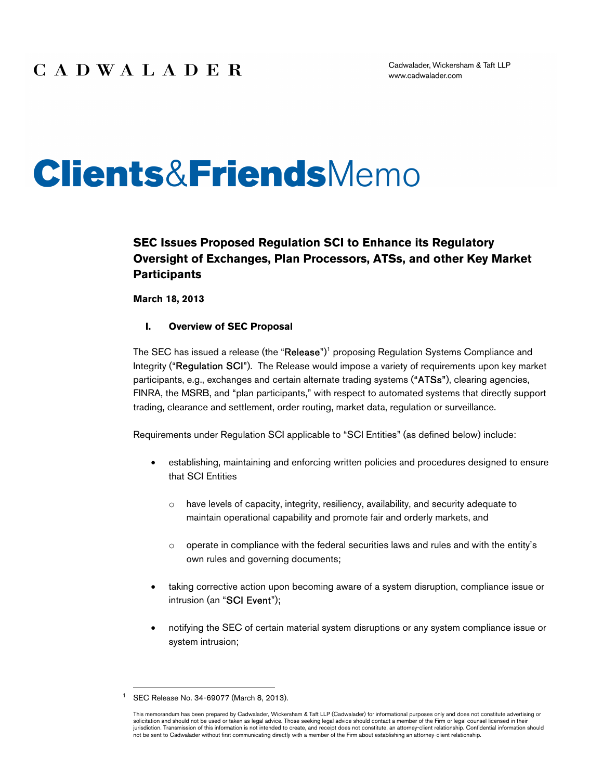# **Clients&Friends**Memo

### **SEC Issues Proposed Regulation SCI to Enhance its Regulatory Oversight of Exchanges, Plan Processors, ATSs, and other Key Market Participants**

**March 18, 2013**

#### **I. Overview of SEC Proposal**

The SEC has issued a release (the "Release")<sup>1</sup> proposing Regulation Systems Compliance and Integrity ("Regulation SCI"). The Release would impose a variety of requirements upon key market participants, e.g., exchanges and certain alternate trading systems ("ATSs"), clearing agencies, FINRA, the MSRB, and "plan participants," with respect to automated systems that directly support trading, clearance and settlement, order routing, market data, regulation or surveillance.

Requirements under Regulation SCI applicable to "SCI Entities" (as defined below) include:

- establishing, maintaining and enforcing written policies and procedures designed to ensure that SCI Entities
	- o have levels of capacity, integrity, resiliency, availability, and security adequate to maintain operational capability and promote fair and orderly markets, and
	- $\circ$  operate in compliance with the federal securities laws and rules and with the entity's own rules and governing documents;
- taking corrective action upon becoming aware of a system disruption, compliance issue or intrusion (an "SCI Event");
- notifying the SEC of certain material system disruptions or any system compliance issue or system intrusion;

<sup>1</sup> SEC Release No. 34-69077 (March 8, 2013).

This memorandum has been prepared by Cadwalader, Wickersham & Taft LLP (Cadwalader) for informational purposes only and does not constitute advertising or solicitation and should not be used or taken as legal advice. Those seeking legal advice should contact a member of the Firm or legal counsel licensed in their jurisdiction. Transmission of this information is not intended to create, and receipt does not constitute, an attorney-client relationship. Confidential information should not be sent to Cadwalader without first communicating directly with a member of the Firm about establishing an attorney-client relationship.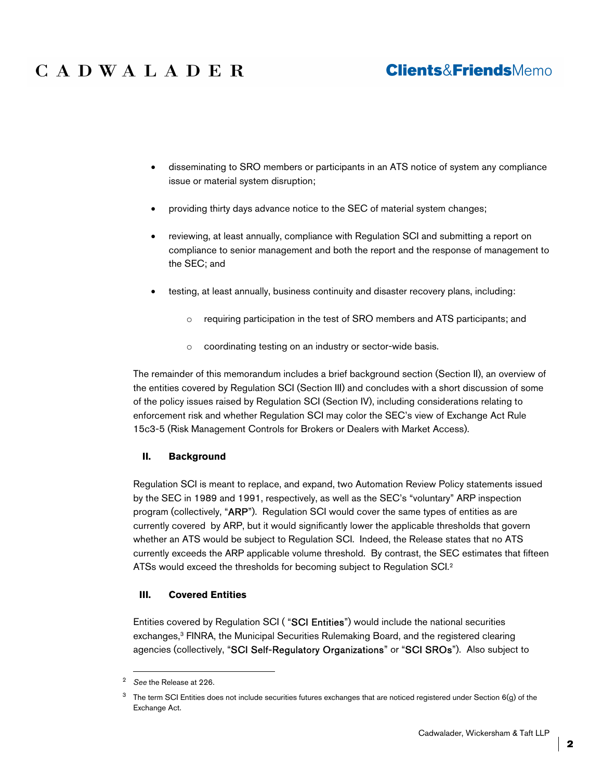## **Clients&FriendsMemo**

- disseminating to SRO members or participants in an ATS notice of system any compliance issue or material system disruption;
- providing thirty days advance notice to the SEC of material system changes;
- reviewing, at least annually, compliance with Regulation SCI and submitting a report on compliance to senior management and both the report and the response of management to the SEC; and
- testing, at least annually, business continuity and disaster recovery plans, including:
	- o requiring participation in the test of SRO members and ATS participants; and
	- o coordinating testing on an industry or sector-wide basis.

The remainder of this memorandum includes a brief background section (Section II), an overview of the entities covered by Regulation SCI (Section III) and concludes with a short discussion of some of the policy issues raised by Regulation SCI (Section IV), including considerations relating to enforcement risk and whether Regulation SCI may color the SEC's view of Exchange Act Rule 15c3-5 (Risk Management Controls for Brokers or Dealers with Market Access).

#### **II. Background**

Regulation SCI is meant to replace, and expand, two Automation Review Policy statements issued by the SEC in 1989 and 1991, respectively, as well as the SEC's "voluntary" ARP inspection program (collectively, "ARP"). Regulation SCI would cover the same types of entities as are currently covered by ARP, but it would significantly lower the applicable thresholds that govern whether an ATS would be subject to Regulation SCI. Indeed, the Release states that no ATS currently exceeds the ARP applicable volume threshold. By contrast, the SEC estimates that fifteen ATSs would exceed the thresholds for becoming subject to Regulation SCI.<sup>2</sup>

#### **III. Covered Entities**

Entities covered by Regulation SCI ( "SCI Entities") would include the national securities exchanges,<sup>3</sup> FINRA, the Municipal Securities Rulemaking Board, and the registered clearing agencies (collectively, "SCI Self-Regulatory Organizations" or "SCI SROs"). Also subject to

<sup>2</sup> *See* the Release at 226.

 $3$  The term SCI Entities does not include securities futures exchanges that are noticed registered under Section 6(g) of the Exchange Act.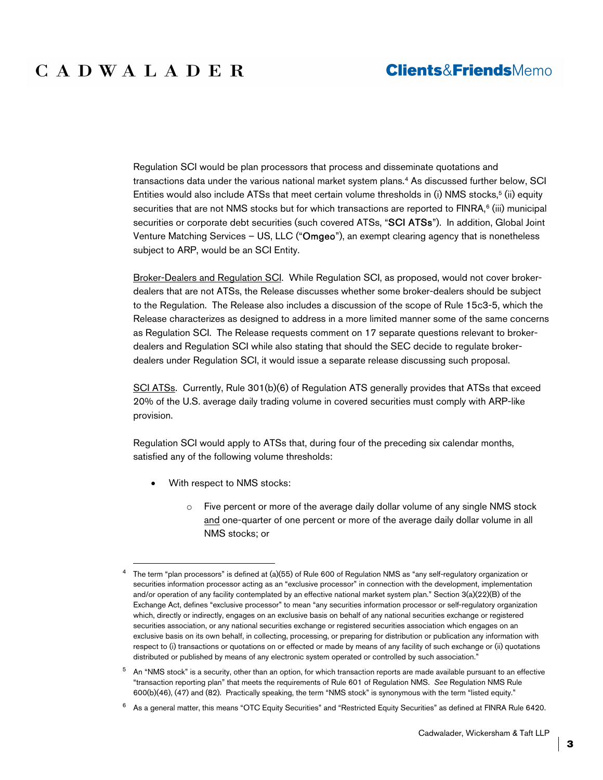## **Clients&FriendsMemo**

Regulation SCI would be plan processors that process and disseminate quotations and transactions data under the various national market system plans.<sup>4</sup> As discussed further below, SCI Entities would also include ATSs that meet certain volume thresholds in (i) NMS stocks,<sup>5</sup> (ii) equity securities that are not NMS stocks but for which transactions are reported to FINRA,<sup>6</sup> (iii) municipal securities or corporate debt securities (such covered ATSs, "SCI ATSs"). In addition, Global Joint Venture Matching Services – US, LLC ("Omgeo"), an exempt clearing agency that is nonetheless subject to ARP, would be an SCI Entity.

Broker-Dealers and Regulation SCI. While Regulation SCI, as proposed, would not cover brokerdealers that are not ATSs, the Release discusses whether some broker-dealers should be subject to the Regulation. The Release also includes a discussion of the scope of Rule 15c3-5, which the Release characterizes as designed to address in a more limited manner some of the same concerns as Regulation SCI. The Release requests comment on 17 separate questions relevant to brokerdealers and Regulation SCI while also stating that should the SEC decide to regulate brokerdealers under Regulation SCI, it would issue a separate release discussing such proposal.

SCI ATSs. Currently, Rule 301(b)(6) of Regulation ATS generally provides that ATSs that exceed 20% of the U.S. average daily trading volume in covered securities must comply with ARP-like provision.

Regulation SCI would apply to ATSs that, during four of the preceding six calendar months, satisfied any of the following volume thresholds:

- With respect to NMS stocks:
	- $\circ$  Five percent or more of the average daily dollar volume of any single NMS stock and one-quarter of one percent or more of the average daily dollar volume in all NMS stocks; or

<sup>4</sup> The term "plan processors" is defined at (a)(55) of Rule 600 of Regulation NMS as "any self-regulatory organization or securities information processor acting as an "exclusive processor" in connection with the development, implementation and/or operation of any facility contemplated by an effective national market system plan." Section 3(a)(22)(B) of the Exchange Act, defines "exclusive processor" to mean "any securities information processor or self-regulatory organization which, directly or indirectly, engages on an exclusive basis on behalf of any national securities exchange or registered securities association, or any national securities exchange or registered securities association which engages on an exclusive basis on its own behalf, in collecting, processing, or preparing for distribution or publication any information with respect to (i) transactions or quotations on or effected or made by means of any facility of such exchange or (ii) quotations distributed or published by means of any electronic system operated or controlled by such association."

<sup>&</sup>lt;sup>5</sup> An "NMS stock" is a security, other than an option, for which transaction reports are made available pursuant to an effective "transaction reporting plan" that meets the requirements of Rule 601 of Regulation NMS. *See* Regulation NMS Rule 600(b)(46), (47) and (82). Practically speaking, the term "NMS stock" is synonymous with the term "listed equity."

<sup>&</sup>lt;sup>6</sup> As a general matter, this means "OTC Equity Securities" and "Restricted Equity Securities" as defined at FINRA Rule 6420.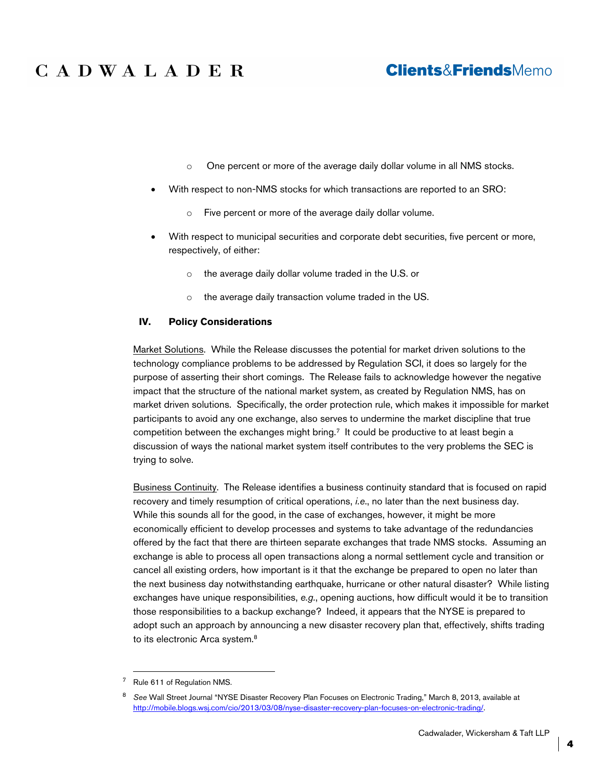## **Clients&FriendsMemo**

- o One percent or more of the average daily dollar volume in all NMS stocks.
- With respect to non-NMS stocks for which transactions are reported to an SRO:
	- o Five percent or more of the average daily dollar volume.
- With respect to municipal securities and corporate debt securities, five percent or more, respectively, of either:
	- o the average daily dollar volume traded in the U.S. or
	- o the average daily transaction volume traded in the US.

#### **IV. Policy Considerations**

Market Solutions. While the Release discusses the potential for market driven solutions to the technology compliance problems to be addressed by Regulation SCI, it does so largely for the purpose of asserting their short comings. The Release fails to acknowledge however the negative impact that the structure of the national market system, as created by Regulation NMS, has on market driven solutions. Specifically, the order protection rule, which makes it impossible for market participants to avoid any one exchange, also serves to undermine the market discipline that true competition between the exchanges might bring.<sup>7</sup> It could be productive to at least begin a discussion of ways the national market system itself contributes to the very problems the SEC is trying to solve.

Business Continuity. The Release identifies a business continuity standard that is focused on rapid recovery and timely resumption of critical operations, *i.e*., no later than the next business day. While this sounds all for the good, in the case of exchanges, however, it might be more economically efficient to develop processes and systems to take advantage of the redundancies offered by the fact that there are thirteen separate exchanges that trade NMS stocks. Assuming an exchange is able to process all open transactions along a normal settlement cycle and transition or cancel all existing orders, how important is it that the exchange be prepared to open no later than the next business day notwithstanding earthquake, hurricane or other natural disaster? While listing exchanges have unique responsibilities, *e.g.*, opening auctions, how difficult would it be to transition those responsibilities to a backup exchange? Indeed, it appears that the NYSE is prepared to adopt such an approach by announcing a new disaster recovery plan that, effectively, shifts trading to its electronic Arca system.<sup>8</sup>

<sup>7</sup> Rule 611 of Regulation NMS.

<sup>8</sup> *See* Wall Street Journal "NYSE Disaster Recovery Plan Focuses on Electronic Trading," March 8, 2013, available at http://mobile.blogs.wsj.com/cio/2013/03/08/nyse-disaster-recovery-plan-focuses-on-electronic-trading/.